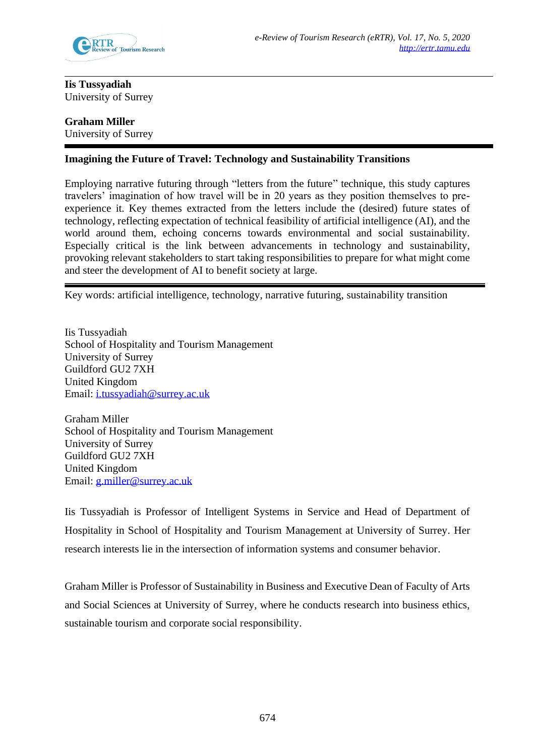

**Iis Tussyadiah** University of Surrey

## **Graham Miller**  University of Surrey

# **Imagining the Future of Travel: Technology and Sustainability Transitions**

Employing narrative futuring through "letters from the future" technique, this study captures travelers' imagination of how travel will be in 20 years as they position themselves to preexperience it. Key themes extracted from the letters include the (desired) future states of technology, reflecting expectation of technical feasibility of artificial intelligence (AI), and the world around them, echoing concerns towards environmental and social sustainability. Especially critical is the link between advancements in technology and sustainability, provoking relevant stakeholders to start taking responsibilities to prepare for what might come and steer the development of AI to benefit society at large.

Key words: artificial intelligence, technology, narrative futuring, sustainability transition

Iis Tussyadiah School of Hospitality and Tourism Management University of Surrey Guildford GU2 7XH United Kingdom Email: [i.tussyadiah@surrey.ac.uk](mailto:i.tussyadiah@surrey.ac.uk) 

Graham Miller School of Hospitality and Tourism Management University of Surrey Guildford GU2 7XH United Kingdom Email: [g.miller@surrey.ac.uk](mailto:g.miller@surrey.ac.uk) 

Iis Tussyadiah is Professor of Intelligent Systems in Service and Head of Department of Hospitality in School of Hospitality and Tourism Management at University of Surrey. Her research interests lie in the intersection of information systems and consumer behavior.

Graham Miller is Professor of Sustainability in Business and Executive Dean of Faculty of Arts and Social Sciences at University of Surrey, where he conducts research into business ethics, sustainable tourism and corporate social responsibility.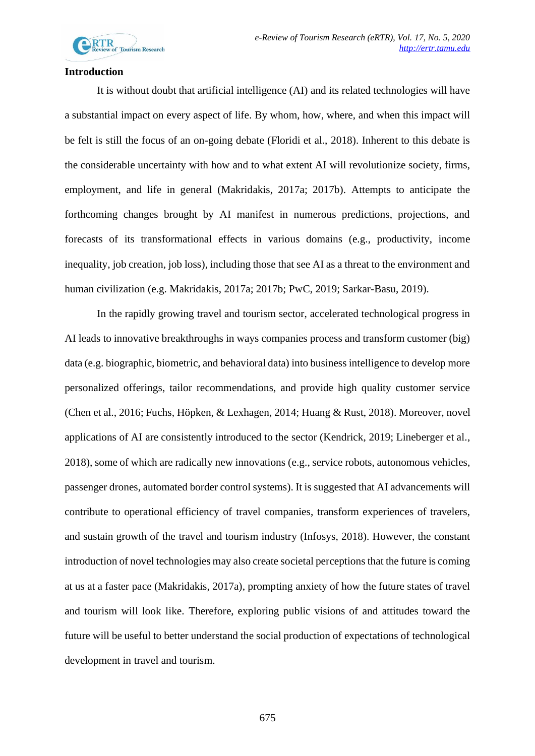

## **Introduction**

It is without doubt that artificial intelligence (AI) and its related technologies will have a substantial impact on every aspect of life. By whom, how, where, and when this impact will be felt is still the focus of an on-going debate (Floridi et al., 2018). Inherent to this debate is the considerable uncertainty with how and to what extent AI will revolutionize society, firms, employment, and life in general (Makridakis, 2017a; 2017b). Attempts to anticipate the forthcoming changes brought by AI manifest in numerous predictions, projections, and forecasts of its transformational effects in various domains (e.g., productivity, income inequality, job creation, job loss), including those that see AI as a threat to the environment and human civilization (e.g. Makridakis, 2017a; 2017b; PwC, 2019; Sarkar-Basu, 2019).

In the rapidly growing travel and tourism sector, accelerated technological progress in AI leads to innovative breakthroughs in ways companies process and transform customer (big) data (e.g. biographic, biometric, and behavioral data) into business intelligence to develop more personalized offerings, tailor recommendations, and provide high quality customer service (Chen et al., 2016; Fuchs, Höpken, & Lexhagen, 2014; Huang & Rust, 2018). Moreover, novel applications of AI are consistently introduced to the sector (Kendrick, 2019; Lineberger et al., 2018), some of which are radically new innovations (e.g., service robots, autonomous vehicles, passenger drones, automated border control systems). It is suggested that AI advancements will contribute to operational efficiency of travel companies, transform experiences of travelers, and sustain growth of the travel and tourism industry (Infosys, 2018). However, the constant introduction of novel technologies may also create societal perceptions that the future is coming at us at a faster pace (Makridakis, 2017a), prompting anxiety of how the future states of travel and tourism will look like. Therefore, exploring public visions of and attitudes toward the future will be useful to better understand the social production of expectations of technological development in travel and tourism.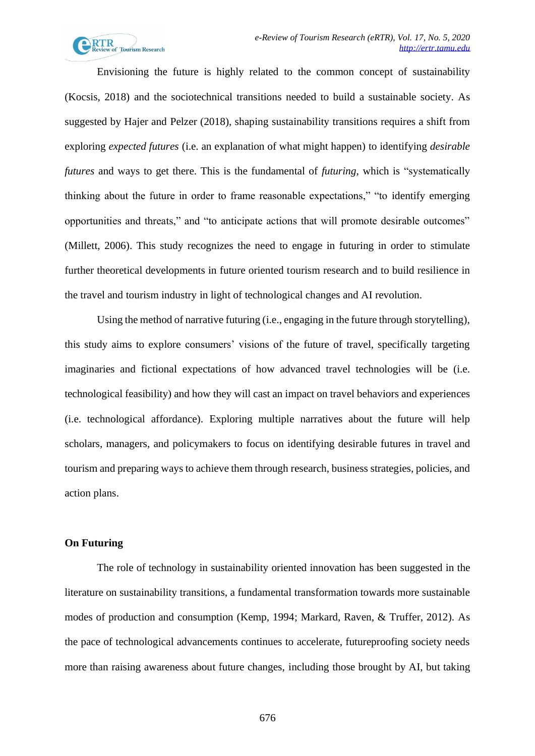

Envisioning the future is highly related to the common concept of sustainability (Kocsis, 2018) and the sociotechnical transitions needed to build a sustainable society. As suggested by Hajer and Pelzer (2018), shaping sustainability transitions requires a shift from exploring *expected futures* (i.e. an explanation of what might happen) to identifying *desirable futures* and ways to get there. This is the fundamental of *futuring*, which is "systematically thinking about the future in order to frame reasonable expectations," "to identify emerging opportunities and threats," and "to anticipate actions that will promote desirable outcomes" (Millett, 2006). This study recognizes the need to engage in futuring in order to stimulate further theoretical developments in future oriented tourism research and to build resilience in the travel and tourism industry in light of technological changes and AI revolution.

Using the method of narrative futuring (i.e., engaging in the future through storytelling), this study aims to explore consumers' visions of the future of travel, specifically targeting imaginaries and fictional expectations of how advanced travel technologies will be (i.e. technological feasibility) and how they will cast an impact on travel behaviors and experiences (i.e. technological affordance). Exploring multiple narratives about the future will help scholars, managers, and policymakers to focus on identifying desirable futures in travel and tourism and preparing ways to achieve them through research, business strategies, policies, and action plans.

## **On Futuring**

The role of technology in sustainability oriented innovation has been suggested in the literature on sustainability transitions, a fundamental transformation towards more sustainable modes of production and consumption (Kemp, 1994; Markard, Raven, & Truffer, 2012). As the pace of technological advancements continues to accelerate, futureproofing society needs more than raising awareness about future changes, including those brought by AI, but taking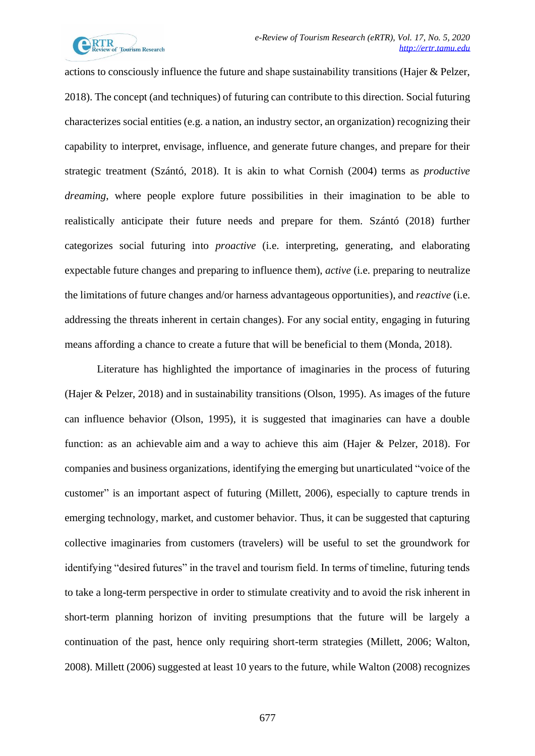

actions to consciously influence the future and shape sustainability transitions (Hajer & Pelzer, 2018). The concept (and techniques) of futuring can contribute to this direction. Social futuring characterizes social entities (e.g. a nation, an industry sector, an organization) recognizing their capability to interpret, envisage, influence, and generate future changes, and prepare for their strategic treatment (Szántó, 2018). It is akin to what Cornish (2004) terms as *productive dreaming*, where people explore future possibilities in their imagination to be able to realistically anticipate their future needs and prepare for them. Szántó (2018) further categorizes social futuring into *proactive* (i.e. interpreting, generating, and elaborating expectable future changes and preparing to influence them), *active* (i.e. preparing to neutralize the limitations of future changes and/or harness advantageous opportunities), and *reactive* (i.e. addressing the threats inherent in certain changes). For any social entity, engaging in futuring means affording a chance to create a future that will be beneficial to them (Monda, 2018).

Literature has highlighted the importance of imaginaries in the process of futuring (Hajer & Pelzer, 2018) and in sustainability transitions (Olson, 1995). As images of the future can influence behavior (Olson, 1995), it is suggested that imaginaries can have a double function: as an achievable aim and a way to achieve this aim (Hajer & Pelzer, 2018). For companies and business organizations, identifying the emerging but unarticulated "voice of the customer" is an important aspect of futuring (Millett, 2006), especially to capture trends in emerging technology, market, and customer behavior. Thus, it can be suggested that capturing collective imaginaries from customers (travelers) will be useful to set the groundwork for identifying "desired futures" in the travel and tourism field. In terms of timeline, futuring tends to take a long-term perspective in order to stimulate creativity and to avoid the risk inherent in short-term planning horizon of inviting presumptions that the future will be largely a continuation of the past, hence only requiring short-term strategies (Millett, 2006; Walton, 2008). Millett (2006) suggested at least 10 years to the future, while Walton (2008) recognizes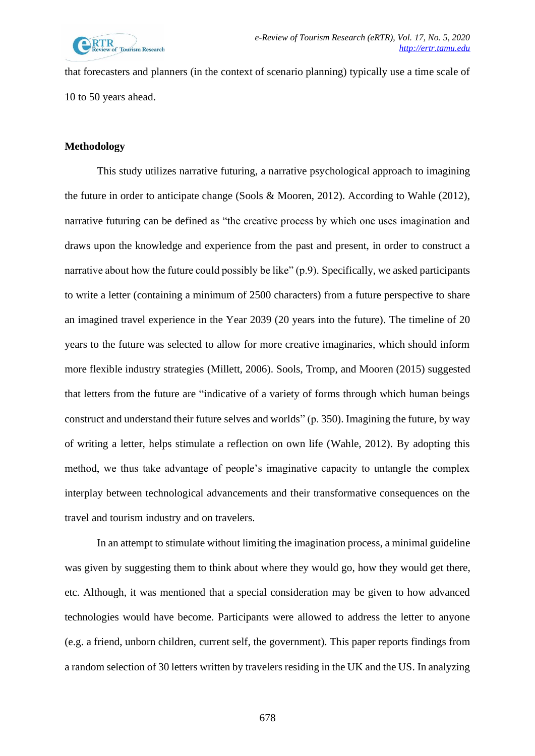

that forecasters and planners (in the context of scenario planning) typically use a time scale of 10 to 50 years ahead.

## **Methodology**

This study utilizes narrative futuring, a narrative psychological approach to imagining the future in order to anticipate change (Sools & Mooren, 2012). According to Wahle (2012), narrative futuring can be defined as "the creative process by which one uses imagination and draws upon the knowledge and experience from the past and present, in order to construct a narrative about how the future could possibly be like" (p.9). Specifically, we asked participants to write a letter (containing a minimum of 2500 characters) from a future perspective to share an imagined travel experience in the Year 2039 (20 years into the future). The timeline of 20 years to the future was selected to allow for more creative imaginaries, which should inform more flexible industry strategies (Millett, 2006). Sools, Tromp, and Mooren (2015) suggested that letters from the future are "indicative of a variety of forms through which human beings construct and understand their future selves and worlds" (p. 350). Imagining the future, by way of writing a letter, helps stimulate a reflection on own life (Wahle, 2012). By adopting this method, we thus take advantage of people's imaginative capacity to untangle the complex interplay between technological advancements and their transformative consequences on the travel and tourism industry and on travelers.

In an attempt to stimulate without limiting the imagination process, a minimal guideline was given by suggesting them to think about where they would go, how they would get there, etc. Although, it was mentioned that a special consideration may be given to how advanced technologies would have become. Participants were allowed to address the letter to anyone (e.g. a friend, unborn children, current self, the government). This paper reports findings from a random selection of 30 letters written by travelers residing in the UK and the US. In analyzing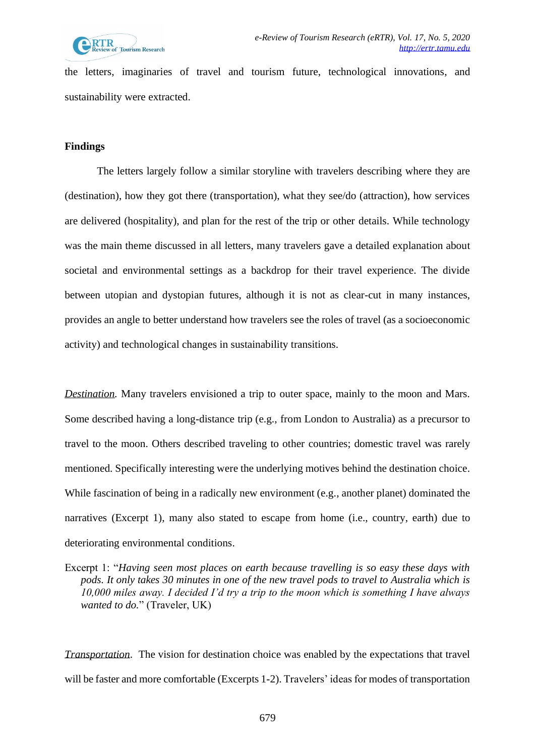

the letters, imaginaries of travel and tourism future, technological innovations, and sustainability were extracted.

## **Findings**

The letters largely follow a similar storyline with travelers describing where they are (destination), how they got there (transportation), what they see/do (attraction), how services are delivered (hospitality), and plan for the rest of the trip or other details. While technology was the main theme discussed in all letters, many travelers gave a detailed explanation about societal and environmental settings as a backdrop for their travel experience. The divide between utopian and dystopian futures, although it is not as clear-cut in many instances, provides an angle to better understand how travelers see the roles of travel (as a socioeconomic activity) and technological changes in sustainability transitions.

*Destination.* Many travelers envisioned a trip to outer space, mainly to the moon and Mars. Some described having a long-distance trip (e.g., from London to Australia) as a precursor to travel to the moon. Others described traveling to other countries; domestic travel was rarely mentioned. Specifically interesting were the underlying motives behind the destination choice. While fascination of being in a radically new environment (e.g., another planet) dominated the narratives (Excerpt 1), many also stated to escape from home (i.e., country, earth) due to deteriorating environmental conditions.

Excerpt 1: "*Having seen most places on earth because travelling is so easy these days with pods. It only takes 30 minutes in one of the new travel pods to travel to Australia which is 10,000 miles away. I decided I'd try a trip to the moon which is something I have always wanted to do.*" (Traveler, UK)

*Transportation*. The vision for destination choice was enabled by the expectations that travel will be faster and more comfortable (Excerpts 1-2). Travelers' ideas for modes of transportation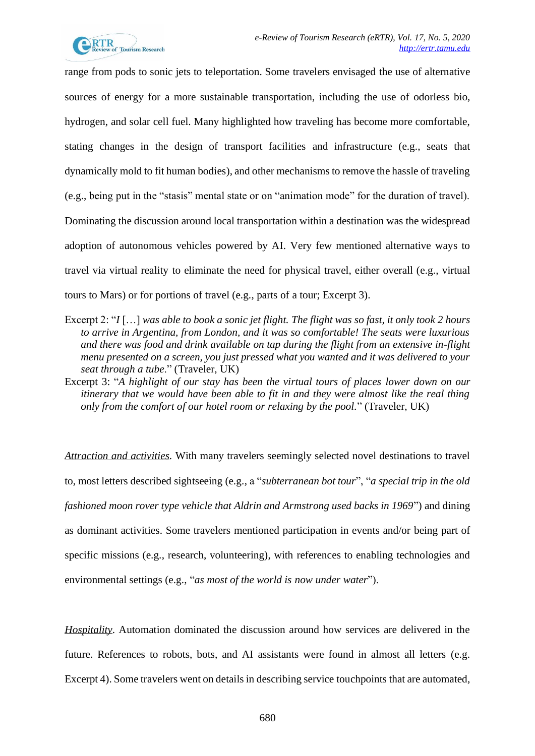

range from pods to sonic jets to teleportation. Some travelers envisaged the use of alternative sources of energy for a more sustainable transportation, including the use of odorless bio, hydrogen, and solar cell fuel. Many highlighted how traveling has become more comfortable, stating changes in the design of transport facilities and infrastructure (e.g., seats that dynamically mold to fit human bodies), and other mechanismsto remove the hassle of traveling (e.g., being put in the "stasis" mental state or on "animation mode" for the duration of travel). Dominating the discussion around local transportation within a destination was the widespread adoption of autonomous vehicles powered by AI. Very few mentioned alternative ways to travel via virtual reality to eliminate the need for physical travel, either overall (e.g., virtual tours to Mars) or for portions of travel (e.g., parts of a tour; Excerpt 3).

- Excerpt 2: "*I* [...] was able to book a sonic jet flight. The flight was so fast, it only took 2 hours *to arrive in Argentina, from London, and it was so comfortable! The seats were luxurious and there was food and drink available on tap during the flight from an extensive in-flight menu presented on a screen, you just pressed what you wanted and it was delivered to your seat through a tube*." (Traveler, UK)
- Excerpt 3: "*A highlight of our stay has been the virtual tours of places lower down on our itinerary that we would have been able to fit in and they were almost like the real thing only from the comfort of our hotel room or relaxing by the pool.*" (Traveler, UK)

*Attraction and activities.* With many travelers seemingly selected novel destinations to travel to, most letters described sightseeing (e.g., a "*subterranean bot tour*", "*a special trip in the old fashioned moon rover type vehicle that Aldrin and Armstrong used backs in 1969*") and dining as dominant activities. Some travelers mentioned participation in events and/or being part of specific missions (e.g., research, volunteering), with references to enabling technologies and environmental settings (e.g., "*as most of the world is now under water*").

*Hospitality*. Automation dominated the discussion around how services are delivered in the future. References to robots, bots, and AI assistants were found in almost all letters (e.g. Excerpt 4). Some travelers went on details in describing service touchpoints that are automated,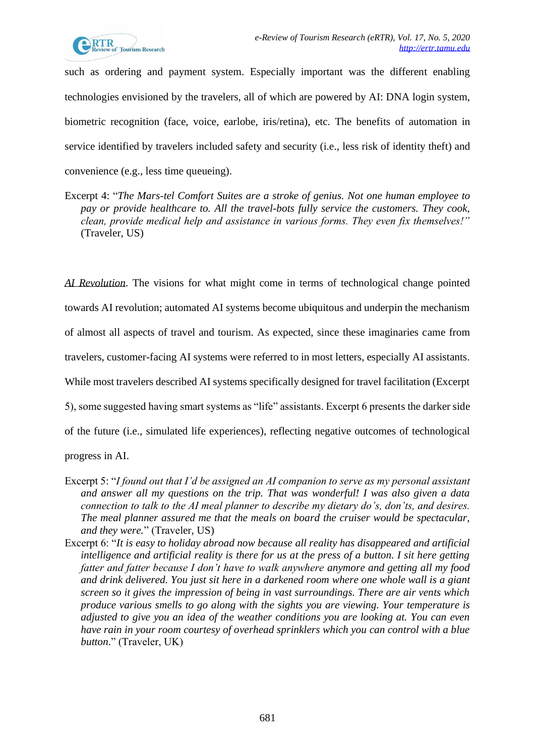

such as ordering and payment system. Especially important was the different enabling technologies envisioned by the travelers, all of which are powered by AI: DNA login system, biometric recognition (face, voice, earlobe, iris/retina), etc. The benefits of automation in service identified by travelers included safety and security (i.e., less risk of identity theft) and convenience (e.g., less time queueing).

Excerpt 4: "*The Mars-tel Comfort Suites are a stroke of genius. Not one human employee to pay or provide healthcare to. All the travel-bots fully service the customers. They cook, clean, provide medical help and assistance in various forms. They even fix themselves!"* (Traveler, US)

*AI Revolution*. The visions for what might come in terms of technological change pointed towards AI revolution; automated AI systems become ubiquitous and underpin the mechanism of almost all aspects of travel and tourism. As expected, since these imaginaries came from travelers, customer-facing AI systems were referred to in most letters, especially AI assistants. While most travelers described AI systems specifically designed for travel facilitation (Excerpt 5), some suggested having smart systems as "life" assistants. Excerpt 6 presents the darker side

of the future (i.e., simulated life experiences), reflecting negative outcomes of technological

progress in AI.

- Excerpt 5: "*I found out that I'd be assigned an AI companion to serve as my personal assistant and answer all my questions on the trip. That was wonderful! I was also given a data connection to talk to the AI meal planner to describe my dietary do's, don'ts, and desires. The meal planner assured me that the meals on board the cruiser would be spectacular, and they were.*" (Traveler, US)
- Excerpt 6: "*It is easy to holiday abroad now because all reality has disappeared and artificial intelligence and artificial reality is there for us at the press of a button. I sit here getting fatter and fatter because I don't have to walk anywhere anymore and getting all my food and drink delivered. You just sit here in a darkened room where one whole wall is a giant screen so it gives the impression of being in vast surroundings. There are air vents which produce various smells to go along with the sights you are viewing. Your temperature is adjusted to give you an idea of the weather conditions you are looking at. You can even have rain in your room courtesy of overhead sprinklers which you can control with a blue button*." (Traveler, UK)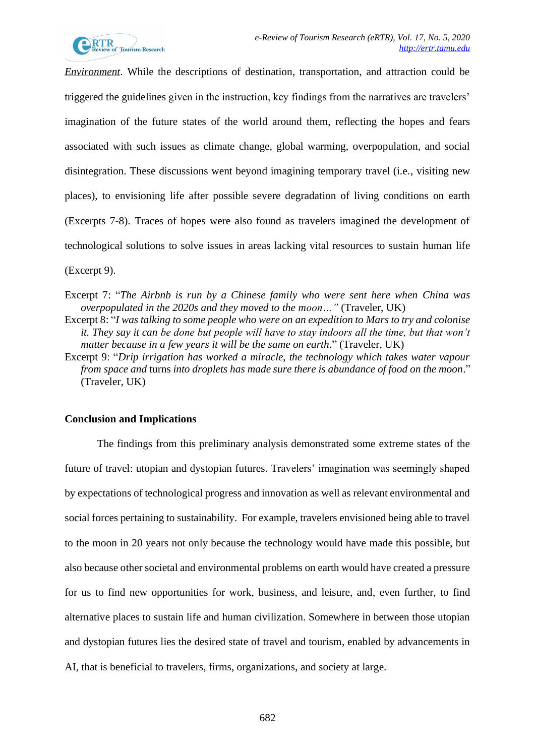

*Environment*. While the descriptions of destination, transportation, and attraction could be triggered the guidelines given in the instruction, key findings from the narratives are travelers' imagination of the future states of the world around them, reflecting the hopes and fears associated with such issues as climate change, global warming, overpopulation, and social disintegration. These discussions went beyond imagining temporary travel (i.e., visiting new places), to envisioning life after possible severe degradation of living conditions on earth (Excerpts 7-8). Traces of hopes were also found as travelers imagined the development of technological solutions to solve issues in areas lacking vital resources to sustain human life (Excerpt 9).

- Excerpt 8: "*I was talking to some people who were on an expedition to Mars to try and colonise it. They say it can be done but people will have to stay indoors all the time, but that won't matter because in a few years it will be the same on earth*." (Traveler, UK)
- Excerpt 9: "*Drip irrigation has worked a miracle, the technology which takes water vapour from space and* turns *into droplets has made sure there is abundance of food on the moon*." (Traveler, UK)

## **Conclusion and Implications**

The findings from this preliminary analysis demonstrated some extreme states of the future of travel: utopian and dystopian futures. Travelers' imagination was seemingly shaped by expectations of technological progress and innovation as well as relevant environmental and social forces pertaining to sustainability. For example, travelers envisioned being able to travel to the moon in 20 years not only because the technology would have made this possible, but also because other societal and environmental problems on earth would have created a pressure for us to find new opportunities for work, business, and leisure, and, even further, to find alternative places to sustain life and human civilization. Somewhere in between those utopian and dystopian futures lies the desired state of travel and tourism, enabled by advancements in AI, that is beneficial to travelers, firms, organizations, and society at large.

Excerpt 7: "*The Airbnb is run by a Chinese family who were sent here when China was overpopulated in the 2020s and they moved to the moon…"* (Traveler, UK)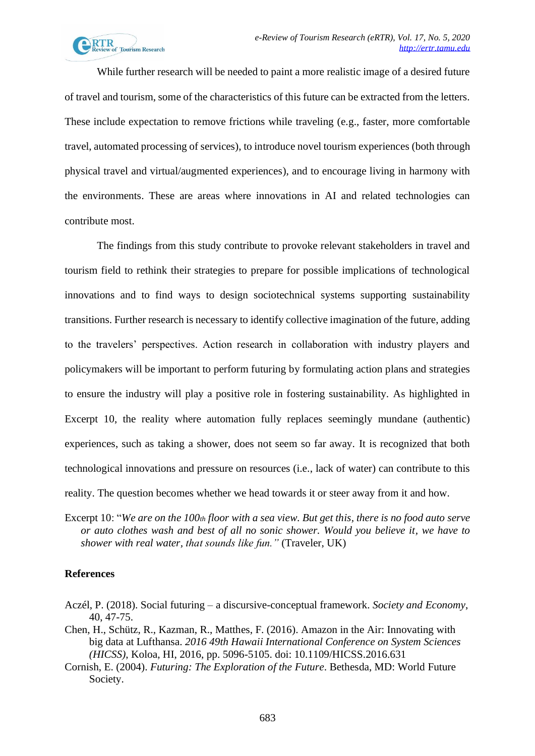While further research will be needed to paint a more realistic image of a desired future of travel and tourism, some of the characteristics of this future can be extracted from the letters. These include expectation to remove frictions while traveling (e.g., faster, more comfortable travel, automated processing of services), to introduce novel tourism experiences (both through physical travel and virtual/augmented experiences), and to encourage living in harmony with the environments. These are areas where innovations in AI and related technologies can contribute most.

The findings from this study contribute to provoke relevant stakeholders in travel and tourism field to rethink their strategies to prepare for possible implications of technological innovations and to find ways to design sociotechnical systems supporting sustainability transitions. Further research is necessary to identify collective imagination of the future, adding to the travelers' perspectives. Action research in collaboration with industry players and policymakers will be important to perform futuring by formulating action plans and strategies to ensure the industry will play a positive role in fostering sustainability. As highlighted in Excerpt 10, the reality where automation fully replaces seemingly mundane (authentic) experiences, such as taking a shower, does not seem so far away. It is recognized that both technological innovations and pressure on resources (i.e., lack of water) can contribute to this reality. The question becomes whether we head towards it or steer away from it and how.

Excerpt 10: "*We are on the 100th floor with a sea view. But get this, there is no food auto serve or auto clothes wash and best of all no sonic shower. Would you believe it, we have to shower with real water, that sounds like fun."* (Traveler, UK)

## **References**

- Aczél, P. (2018). Social futuring a discursive-conceptual framework. *Society and Economy*, 40, 47-75.
- Chen, H., Schütz, R., Kazman, R., Matthes, F. (2016). Amazon in the Air: Innovating with big data at Lufthansa. *2016 49th Hawaii International Conference on System Sciences (HICSS)*, Koloa, HI, 2016, pp. 5096-5105. doi: 10.1109/HICSS.2016.631
- Cornish, E. (2004). *Futuring: The Exploration of the Future*. Bethesda, MD: World Future Society.